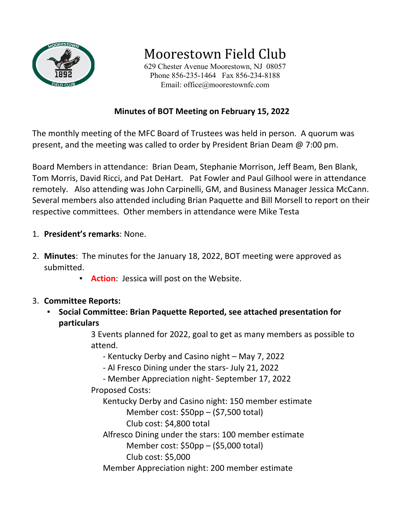

Moorestown Field Club

629 Chester Avenue Moorestown, NJ 08057 Phone 856-235-1464 Fax 856-234-8188 Email: office@moorestownfc.com

### **Minutes of BOT Meeting on February 15, 2022**

The monthly meeting of the MFC Board of Trustees was held in person. A quorum was present, and the meeting was called to order by President Brian Deam @ 7:00 pm.

Board Members in attendance: Brian Deam, Stephanie Morrison, Jeff Beam, Ben Blank, Tom Morris, David Ricci, and Pat DeHart. Pat Fowler and Paul Gilhool were in attendance remotely. Also attending was John Carpinelli, GM, and Business Manager Jessica McCann. Several members also attended including Brian Paquette and Bill Morsell to report on their respective committees. Other members in attendance were Mike Testa

- 1. **President's remarks**: None.
- 2. **Minutes**: The minutes for the January 18, 2022, BOT meeting were approved as submitted.
	- **Action**: Jessica will post on the Website.
- 3. **Committee Reports:** 
	- **Social Committee: Brian Paquette Reported, see attached presentation for particulars**

3 Events planned for 2022, goal to get as many members as possible to attend.

- Kentucky Derby and Casino night – May 7, 2022

- Al Fresco Dining under the stars- July 21, 2022

- Member Appreciation night- September 17, 2022

Proposed Costs:

Kentucky Derby and Casino night: 150 member estimate

Member cost: \$50pp – (\$7,500 total)

Club cost: \$4,800 total

Alfresco Dining under the stars: 100 member estimate Member cost: \$50pp – (\$5,000 total)

Club cost: \$5,000

Member Appreciation night: 200 member estimate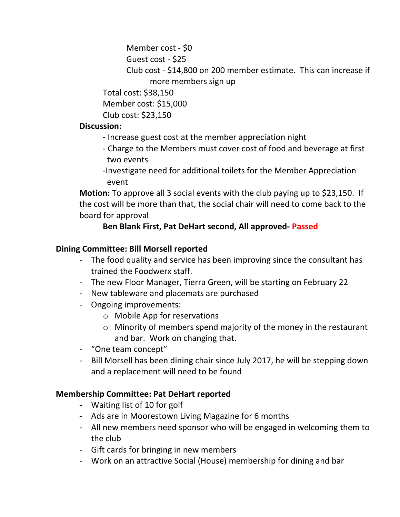```
Member cost - $0
```

```
Guest cost - $25
```
Club cost - \$14,800 on 200 member estimate. This can increase if more members sign up

```
Total cost: $38,150
```
Member cost: \$15,000

Club cost: \$23,150

## **Discussion:**

- Increase guest cost at the member appreciation night
- Charge to the Members must cover cost of food and beverage at first two events
- -Investigate need for additional toilets for the Member Appreciation event

**Motion:** To approve all 3 social events with the club paying up to \$23,150. If the cost will be more than that, the social chair will need to come back to the board for approval

# **Ben Blank First, Pat DeHart second, All approved- Passed**

## **Dining Committee: Bill Morsell reported**

- The food quality and service has been improving since the consultant has trained the Foodwerx staff.
- The new Floor Manager, Tierra Green, will be starting on February 22
- New tableware and placemats are purchased
- Ongoing improvements:
	- o Mobile App for reservations
	- o Minority of members spend majority of the money in the restaurant and bar. Work on changing that.
- "One team concept"
- Bill Morsell has been dining chair since July 2017, he will be stepping down and a replacement will need to be found

### **Membership Committee: Pat DeHart reported**

- Waiting list of 10 for golf
- Ads are in Moorestown Living Magazine for 6 months
- All new members need sponsor who will be engaged in welcoming them to the club
- Gift cards for bringing in new members
- Work on an attractive Social (House) membership for dining and bar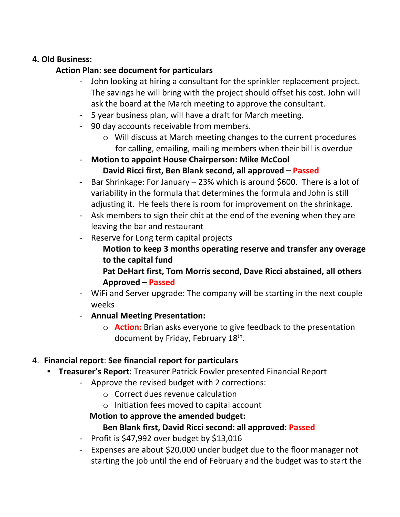#### **4. Old Business:**

## **Action Plan: see document for particulars**

- John looking at hiring a consultant for the sprinkler replacement project. The savings he will bring with the project should offset his cost. John will ask the board at the March meeting to approve the consultant.
- 5 year business plan, will have a draft for March meeting.
- 90 day accounts receivable from members.
	- o Will discuss at March meeting changes to the current procedures for calling, emailing, mailing members when their bill is overdue
- **Motion to appoint House Chairperson: Mike McCool**
	- **David Ricci first, Ben Blank second, all approved Passed**
- Bar Shrinkage: For January 23% which is around \$600. There is a lot of variability in the formula that determines the formula and John is still adjusting it. He feels there is room for improvement on the shrinkage.
- Ask members to sign their chit at the end of the evening when they are leaving the bar and restaurant
- Reserve for Long term capital projects
	- **Motion to keep 3 months operating reserve and transfer any overage to the capital fund**
	- **Pat DeHart first, Tom Morris second, Dave Ricci abstained, all others Approved – Passed**
- WiFi and Server upgrade: The company will be starting in the next couple weeks
- **Annual Meeting Presentation:**
	- o **Action:** Brian asks everyone to give feedback to the presentation document by Friday, February 18th.

### 4. **Financial report**: **See financial report for particulars**

- **Treasurer's Report: Treasurer Patrick Fowler presented Financial Report** 
	- Approve the revised budget with 2 corrections:
		- o Correct dues revenue calculation
		- o Initiation fees moved to capital account

### **Motion to approve the amended budget:**

# **Ben Blank first, David Ricci second: all approved: Passed**

- Profit is  $$47,992$  over budget by  $$13,016$
- Expenses are about \$20,000 under budget due to the floor manager not starting the job until the end of February and the budget was to start the